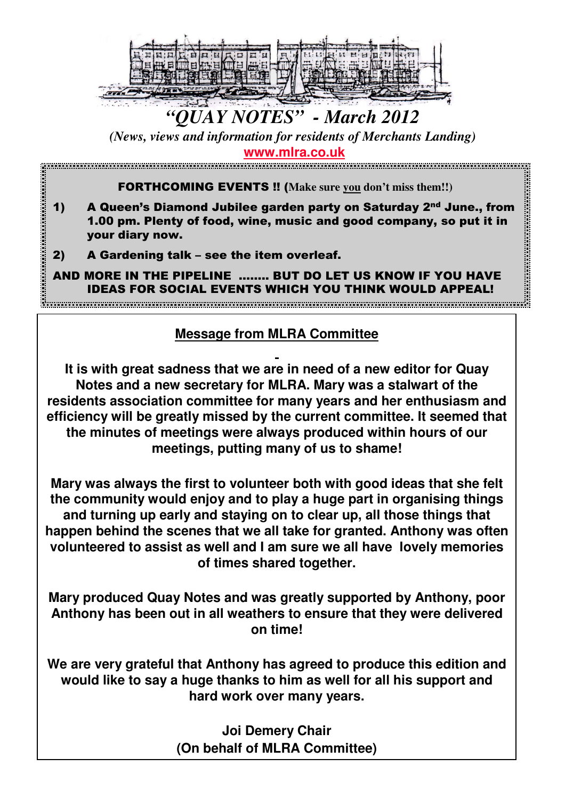

# *"QUAY NOTES" - March 2012*

*(News, views and information for residents of Merchants Landing)* **www.mlra.co.uk**

FORTHCOMING EVENTS !! (**Make sure you don't miss them!!)**

- 1) A Queen's Diamond Jubilee garden party on Saturday 2<sup>nd</sup> June., from 1.00 pm. Plenty of food, wine, music and good company, so put it in your diary now.
- 2) A Gardening talk see the item overleaf.
- AND MORE IN THE PIPELINE …….. BUT DO LET US KNOW IF YOU HAVE IDEAS FOR SOCIAL EVENTS WHICH YOU THINK WOULD APPEAL!

# **Message from MLRA Committee**

**It is with great sadness that we are in need of a new editor for Quay Notes and a new secretary for MLRA. Mary was a stalwart of the residents association committee for many years and her enthusiasm and efficiency will be greatly missed by the current committee. It seemed that the minutes of meetings were always produced within hours of our meetings, putting many of us to shame!**

**Mary was always the first to volunteer both with good ideas that she felt the community would enjoy and to play a huge part in organising things and turning up early and staying on to clear up, all those things that happen behind the scenes that we all take for granted. Anthony was often volunteered to assist as well and I am sure we all have lovely memories of times shared together.**

**Mary produced Quay Notes and was greatly supported by Anthony, poor Anthony has been out in all weathers to ensure that they were delivered on time!** 

**We are very grateful that Anthony has agreed to produce this edition and would like to say a huge thanks to him as well for all his support and hard work over many years.**

> **Joi Demery Chair (On behalf of MLRA Committee)**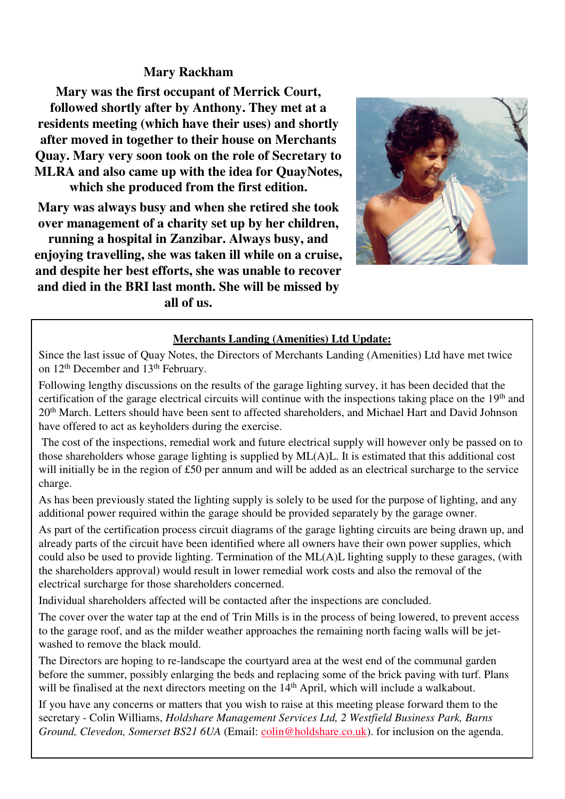## **Mary Rackham**

**Mary was the first occupant of Merrick Court, followed shortly after by Anthony. They met at a residents meeting (which have their uses) and shortly after moved in together to their house on Merchants Quay. Mary very soon took on the role of Secretary to MLRA and also came up with the idea for QuayNotes, which she produced from the first edition.** 

**Mary was always busy and when she retired she took over management of a charity set up by her children, running a hospital in Zanzibar. Always busy, and enjoying travelling, she was taken ill while on a cruise, and despite her best efforts, she was unable to recover and died in the BRI last month. She will be missed by all of us.**



#### **Merchants Landing (Amenities) Ltd Update:**

Since the last issue of Quay Notes, the Directors of Merchants Landing (Amenities) Ltd have met twice on 12th December and 13th February.

Following lengthy discussions on the results of the garage lighting survey, it has been decided that the certification of the garage electrical circuits will continue with the inspections taking place on the 19<sup>th</sup> and 20<sup>th</sup> March. Letters should have been sent to affected shareholders, and Michael Hart and David Johnson have offered to act as keyholders during the exercise.

The cost of the inspections, remedial work and future electrical supply will however only be passed on to those shareholders whose garage lighting is supplied by ML(A)L. It is estimated that this additional cost will initially be in the region of £50 per annum and will be added as an electrical surcharge to the service charge.

As has been previously stated the lighting supply is solely to be used for the purpose of lighting, and any additional power required within the garage should be provided separately by the garage owner.

As part of the certification process circuit diagrams of the garage lighting circuits are being drawn up, and already parts of the circuit have been identified where all owners have their own power supplies, which could also be used to provide lighting. Termination of the ML(A)L lighting supply to these garages, (with the shareholders approval) would result in lower remedial work costs and also the removal of the electrical surcharge for those shareholders concerned.

Individual shareholders affected will be contacted after the inspections are concluded.

The cover over the water tap at the end of Trin Mills is in the process of being lowered, to prevent access to the garage roof, and as the milder weather approaches the remaining north facing walls will be jetwashed to remove the black mould.

The Directors are hoping to re-landscape the courtyard area at the west end of the communal garden before the summer, possibly enlarging the beds and replacing some of the brick paving with turf. Plans will be finalised at the next directors meeting on the 14<sup>th</sup> April, which will include a walkabout.

If you have any concerns or matters that you wish to raise at this meeting please forward them to the secretary - Colin Williams, *Holdshare Management Services Ltd, 2 Westfield Business Park, Barns Ground, Clevedon, Somerset BS21 6UA* (Email: colin@holdshare.co.uk). for inclusion on the agenda.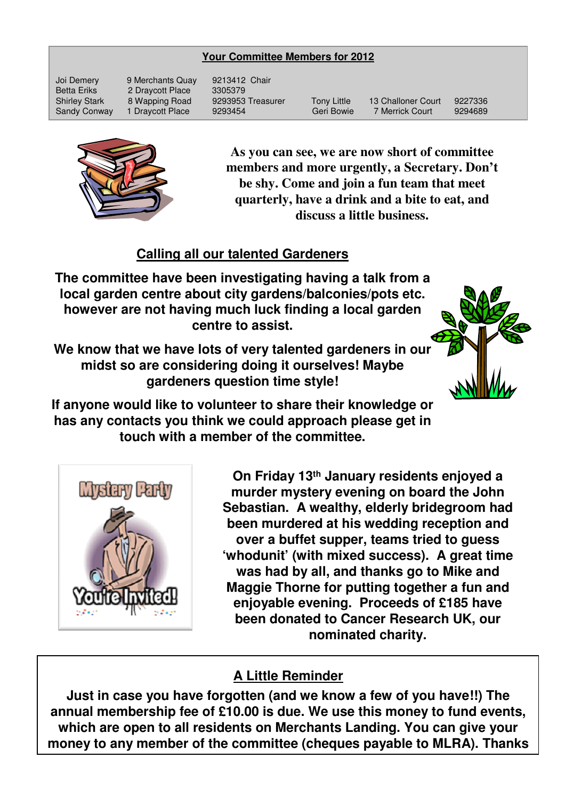#### **Your Committee Members for 2012**

Joi Demery 9 Merchants Quay 9213412 Chair Betta Eriks 2 Draycott Place 3305379

Shirley Stark 8 Wapping Road 9293953 Treasurer Tony Little 13 Challoner Court 9227336 Sandy Conway 1 Draycott Place 9293454 Geri Bowie 7 Merrick Court 9294689



**As you can see, we are now short of committee members and more urgently, a Secretary. Don't be shy. Come and join a fun team that meet quarterly, have a drink and a bite to eat, and discuss a little business.**

## **Calling all our talented Gardeners**

**The committee have been investigating having a talk from a local garden centre about city gardens/balconies/pots etc. however are not having much luck finding a local garden centre to assist.**

**We know that we have lots of very talented gardeners in our midst so are considering doing it ourselves! Maybe gardeners question time style!**



**If anyone would like to volunteer to share their knowledge or has any contacts you think we could approach please get in touch with a member of the committee.**



**On Friday 13th January residents enjoyed a murder mystery evening on board the John Sebastian. A wealthy, elderly bridegroom had been murdered at his wedding reception and over a buffet supper, teams tried to guess 'whodunit' (with mixed success). A great time was had by all, and thanks go to Mike and Maggie Thorne for putting together a fun and enjoyable evening. Proceeds of £185 have been donated to Cancer Research UK, our nominated charity.** 

# **A Little Reminder**

**Just in case you have forgotten (and we know a few of you have!!) The annual membership fee of £10.00 is due. We use this money to fund events, which are open to all residents on Merchants Landing. You can give your money to any member of the committee (cheques payable to MLRA). Thanks**